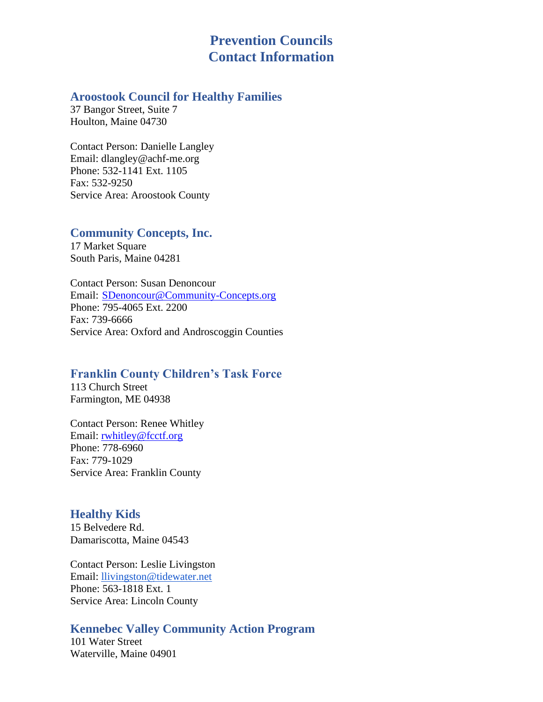# **Prevention Councils Contact Information**

#### **Aroostook Council for Healthy Families**

37 Bangor Street, Suite 7 Houlton, Maine 04730

Contact Person: Danielle Langley Email: dlangley@achf-me.org Phone: 532-1141 Ext. 1105 Fax: 532-9250 Service Area: Aroostook County

# **Community Concepts, Inc.**

17 Market Square South Paris, Maine 04281

Contact Person: Susan Denoncour Email: [SDenoncour@Community-Concepts.org](mailto:SDenoncour@Community-Concepts.org) Phone: 795-4065 Ext. 2200 Fax: 739-6666 Service Area: Oxford and Androscoggin Counties

# **Franklin County Children's Task Force**

113 Church Street Farmington, ME 04938

Contact Person: Renee Whitley Email: [rwhitley@fcctf.org](mailto:rblanchet@fcctf.org) Phone: 778-6960 Fax: 779-1029 Service Area: Franklin County

# **Healthy Kids**

15 Belvedere Rd. Damariscotta, Maine 04543

Contact Person: Leslie Livingston Email: [llivingston@tidewater.net](mailto:llivingston@tidewater.net) Phone: 563-1818 Ext. 1 Service Area: Lincoln County

# **Kennebec Valley Community Action Program**

101 Water Street Waterville, Maine 04901